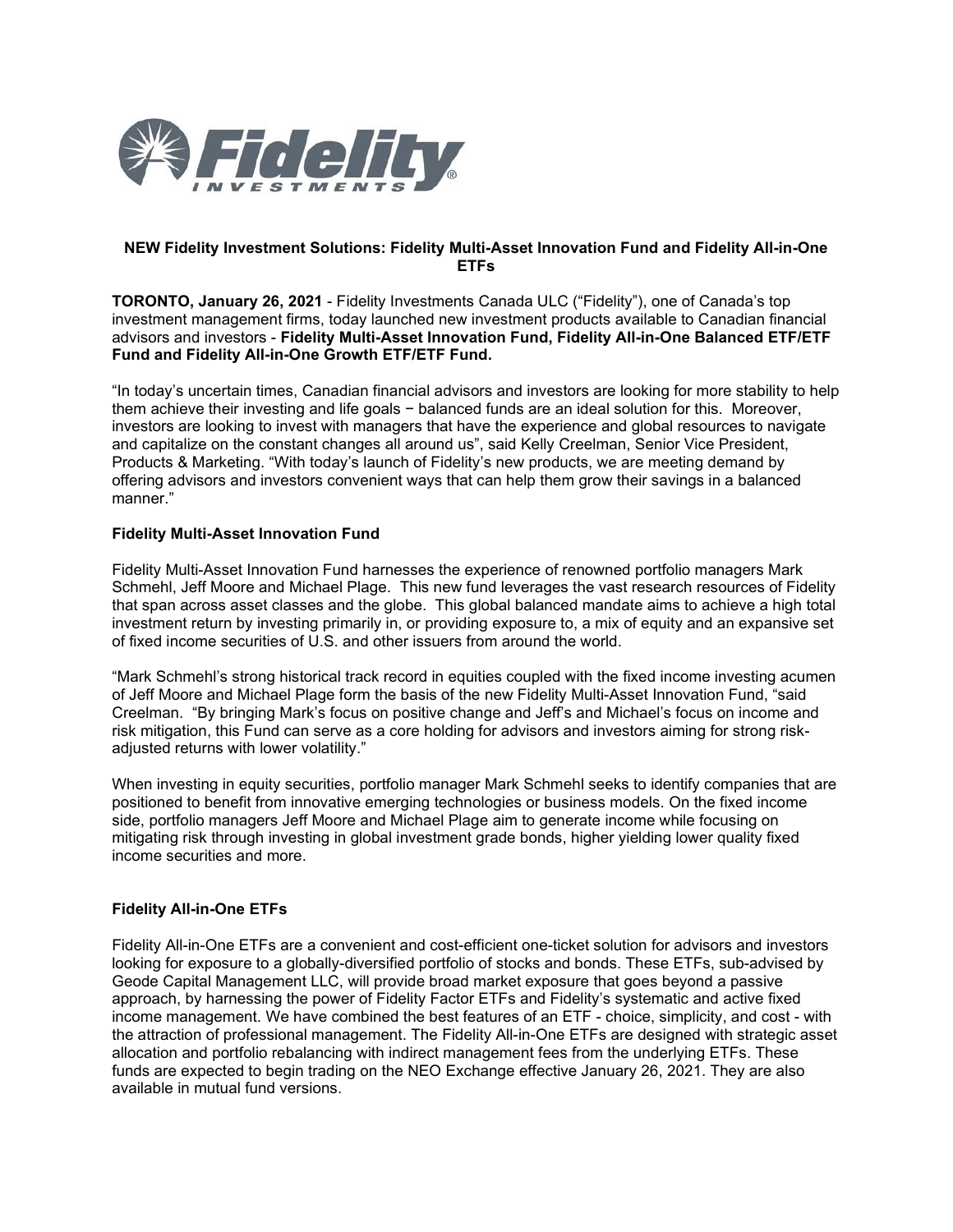

## **NEW Fidelity Investment Solutions: Fidelity Multi-Asset Innovation Fund and Fidelity All-in-One ETFs**

**TORONTO, January 26, 2021** - Fidelity Investments Canada ULC ("Fidelity"), one of Canada's top investment management firms, today launched new investment products available to Canadian financial advisors and investors - **Fidelity Multi-Asset Innovation Fund, Fidelity All-in-One Balanced ETF/ETF Fund and Fidelity All-in-One Growth ETF/ETF Fund.**

"In today's uncertain times, Canadian financial advisors and investors are looking for more stability to help them achieve their investing and life goals − balanced funds are an ideal solution for this. Moreover, investors are looking to invest with managers that have the experience and global resources to navigate and capitalize on the constant changes all around us", said Kelly Creelman, Senior Vice President, Products & Marketing. "With today's launch of Fidelity's new products, we are meeting demand by offering advisors and investors convenient ways that can help them grow their savings in a balanced manner."

## **Fidelity Multi-Asset Innovation Fund**

Fidelity Multi-Asset Innovation Fund harnesses the experience of renowned portfolio managers Mark Schmehl, Jeff Moore and Michael Plage. This new fund leverages the vast research resources of Fidelity that span across asset classes and the globe. This global balanced mandate aims to achieve a high total investment return by investing primarily in, or providing exposure to, a mix of equity and an expansive set of fixed income securities of U.S. and other issuers from around the world.

"Mark Schmehl's strong historical track record in equities coupled with the fixed income investing acumen of Jeff Moore and Michael Plage form the basis of the new Fidelity Multi-Asset Innovation Fund, "said Creelman. "By bringing Mark's focus on positive change and Jeff's and Michael's focus on income and risk mitigation, this Fund can serve as a core holding for advisors and investors aiming for strong riskadjusted returns with lower volatility."

When investing in equity securities, portfolio manager Mark Schmehl seeks to identify companies that are positioned to benefit from innovative emerging technologies or business models. On the fixed income side, portfolio managers Jeff Moore and Michael Plage aim to generate income while focusing on mitigating risk through investing in global investment grade bonds, higher yielding lower quality fixed income securities and more.

## **Fidelity All-in-One ETFs**

Fidelity All-in-One ETFs are a convenient and cost-efficient one-ticket solution for advisors and investors looking for exposure to a globally-diversified portfolio of stocks and bonds. These ETFs, sub-advised by Geode Capital Management LLC, will provide broad market exposure that goes beyond a passive approach, by harnessing the power of Fidelity Factor ETFs and Fidelity's systematic and active fixed income management. We have combined the best features of an ETF - choice, simplicity, and cost - with the attraction of professional management. The Fidelity All-in-One ETFs are designed with strategic asset allocation and portfolio rebalancing with indirect management fees from the underlying ETFs. These funds are expected to begin trading on the NEO Exchange effective January 26, 2021. They are also available in mutual fund versions.